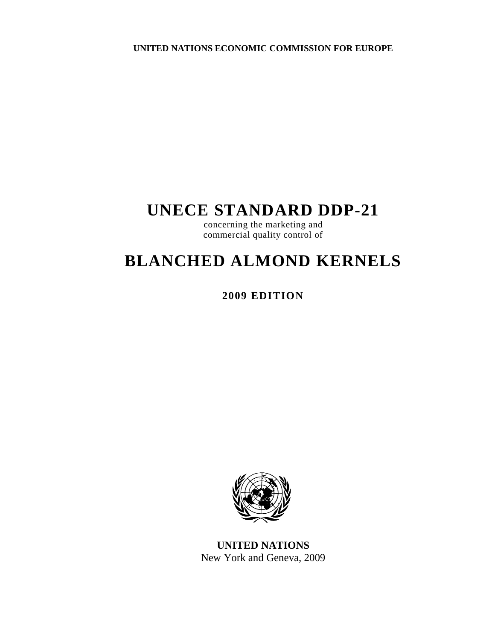**UNITED NATIONS ECONOMIC COMMISSION FOR EUROPE** 

# **UNECE STANDARD DDP-21**

concerning the marketing and commercial quality control of

# **BLANCHED ALMOND KERNELS**

**2009 EDITION** 



**UNITED NATIONS**  New York and Geneva, 2009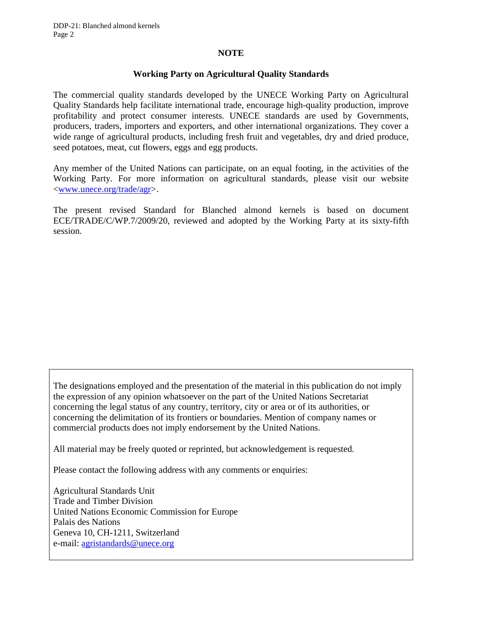#### **NOTE**

#### **Working Party on Agricultural Quality Standards**

The commercial quality standards developed by the UNECE Working Party on Agricultural Quality Standards help facilitate international trade, encourage high-quality production, improve profitability and protect consumer interests. UNECE standards are used by Governments, producers, traders, importers and exporters, and other international organizations. They cover a wide range of agricultural products, including fresh fruit and vegetables, dry and dried produce, seed potatoes, meat, cut flowers, eggs and egg products.

Any member of the United Nations can participate, on an equal footing, in the activities of the Working Party. For more information on agricultural standards, please visit our website <www.unece.org/trade/agr>.

The present revised Standard for Blanched almond kernels is based on document ECE/TRADE/C/WP.7/2009/20, reviewed and adopted by the Working Party at its sixty-fifth session.

The designations employed and the presentation of the material in this publication do not imply the expression of any opinion whatsoever on the part of the United Nations Secretariat concerning the legal status of any country, territory, city or area or of its authorities, or concerning the delimitation of its frontiers or boundaries. Mention of company names or commercial products does not imply endorsement by the United Nations.

All material may be freely quoted or reprinted, but acknowledgement is requested.

Please contact the following address with any comments or enquiries:

Agricultural Standards Unit Trade and Timber Division United Nations Economic Commission for Europe Palais des Nations Geneva 10, CH-1211, Switzerland e-mail: agristandards@unece.org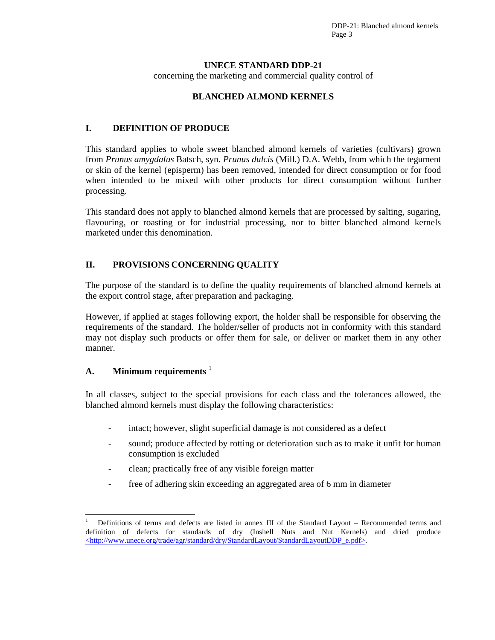DDP-21: Blanched almond kernels Page 3

#### **UNECE STANDARD DDP-21**

concerning the marketing and commercial quality control of

#### **BLANCHED ALMOND KERNELS**

## **I. DEFINITION OF PRODUCE**

This standard applies to whole sweet blanched almond kernels of varieties (cultivars) grown from *Prunus amygdalus* Batsch, syn. *Prunus dulcis* (Mill.) D.A. Webb, from which the tegument or skin of the kernel (episperm) has been removed, intended for direct consumption or for food when intended to be mixed with other products for direct consumption without further processing.

This standard does not apply to blanched almond kernels that are processed by salting, sugaring, flavouring, or roasting or for industrial processing, nor to bitter blanched almond kernels marketed under this denomination.

# **II. PROVISIONS CONCERNING QUALITY**

The purpose of the standard is to define the quality requirements of blanched almond kernels at the export control stage, after preparation and packaging.

However, if applied at stages following export, the holder shall be responsible for observing the requirements of the standard. The holder/seller of products not in conformity with this standard may not display such products or offer them for sale, or deliver or market them in any other manner.

### **A. Minimum requirements** <sup>1</sup>

 $\overline{a}$ 

In all classes, subject to the special provisions for each class and the tolerances allowed, the blanched almond kernels must display the following characteristics:

- intact; however, slight superficial damage is not considered as a defect
- sound; produce affected by rotting or deterioration such as to make it unfit for human consumption is excluded
- clean; practically free of any visible foreign matter
- free of adhering skin exceeding an aggregated area of 6 mm in diameter

<sup>1</sup> Definitions of terms and defects are listed in annex III of the Standard Layout – Recommended terms and definition of defects for standards of dry (Inshell Nuts and Nut Kernels) and dried produce <http://www.unece.org/trade/agr/standard/dry/StandardLayout/StandardLayoutDDP\_e.pdf>.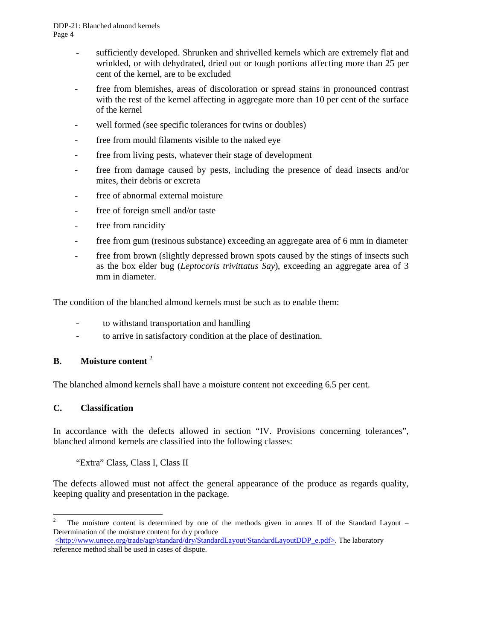- sufficiently developed. Shrunken and shrivelled kernels which are extremely flat and wrinkled, or with dehydrated, dried out or tough portions affecting more than 25 per cent of the kernel, are to be excluded
- free from blemishes, areas of discoloration or spread stains in pronounced contrast with the rest of the kernel affecting in aggregate more than 10 per cent of the surface of the kernel
- well formed (see specific tolerances for twins or doubles)
- free from mould filaments visible to the naked eye
- free from living pests, whatever their stage of development
- free from damage caused by pests, including the presence of dead insects and/or mites, their debris or excreta
- free of abnormal external moisture
- free of foreign smell and/or taste
- free from rancidity
- free from gum (resinous substance) exceeding an aggregate area of 6 mm in diameter
- free from brown (slightly depressed brown spots caused by the stings of insects such as the box elder bug (*Leptocoris trivittatus Say*), exceeding an aggregate area of 3 mm in diameter.

The condition of the blanched almond kernels must be such as to enable them:

- to withstand transportation and handling
- to arrive in satisfactory condition at the place of destination.

# **B. Moisture content** <sup>2</sup>

The blanched almond kernels shall have a moisture content not exceeding 6.5 per cent.

#### **C. Classification**

In accordance with the defects allowed in section "IV. Provisions concerning tolerances", blanched almond kernels are classified into the following classes:

"Extra" Class, Class I, Class II

The defects allowed must not affect the general appearance of the produce as regards quality, keeping quality and presentation in the package.

 $\frac{1}{2}$  The moisture content is determined by one of the methods given in annex II of the Standard Layout – Determination of the moisture content for dry produce

<sup>&</sup>lt;http://www.unece.org/trade/agr/standard/dry/StandardLayout/StandardLayoutDDP\_e.pdf>. The laboratory reference method shall be used in cases of dispute.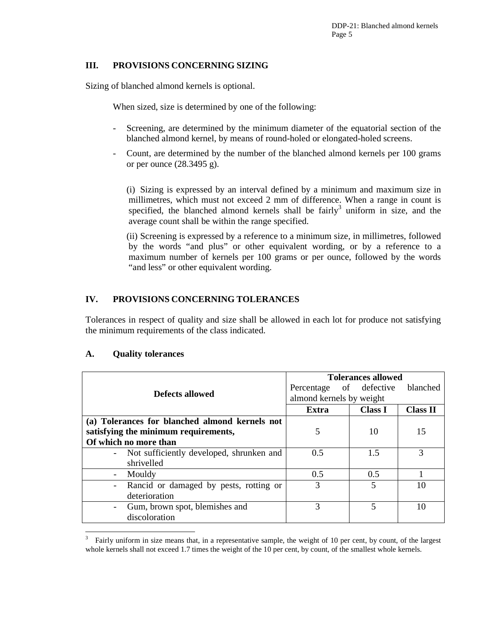#### **III. PROVISIONS CONCERNING SIZING**

Sizing of blanched almond kernels is optional.

When sized, size is determined by one of the following:

- Screening, are determined by the minimum diameter of the equatorial section of the blanched almond kernel, by means of round-holed or elongated-holed screens.
- Count, are determined by the number of the blanched almond kernels per 100 grams or per ounce (28.3495 g).

(i) Sizing is expressed by an interval defined by a minimum and maximum size in millimetres, which must not exceed 2 mm of difference. When a range in count is specified, the blanched almond kernels shall be  $\text{fairly}^3$  uniform in size, and the average count shall be within the range specified.

(ii) Screening is expressed by a reference to a minimum size, in millimetres, followed by the words "and plus" or other equivalent wording, or by a reference to a maximum number of kernels per 100 grams or per ounce, followed by the words "and less" or other equivalent wording.

# **IV. PROVISIONS CONCERNING TOLERANCES**

Tolerances in respect of quality and size shall be allowed in each lot for produce not satisfying the minimum requirements of the class indicated.

#### **A. Quality tolerances**

 $\overline{a}$ 

|                                                    | <b>Tolerances allowed</b> |                          |                 |
|----------------------------------------------------|---------------------------|--------------------------|-----------------|
| Defects allowed                                    | Percentage of defective   |                          | blanched        |
|                                                    | almond kernels by weight  |                          |                 |
|                                                    | Extra                     | <b>Class I</b>           | <b>Class II</b> |
| (a) Tolerances for blanched almond kernels not     |                           |                          |                 |
| satisfying the minimum requirements,               | 5                         | 10                       | 15              |
| Of which no more than                              |                           |                          |                 |
| Not sufficiently developed, shrunken and<br>$\sim$ | 0.5                       | 1.5                      | 3               |
| shrivelled                                         |                           |                          |                 |
| Mouldy                                             | 0.5                       | 0.5                      |                 |
| Rancid or damaged by pests, rotting or<br>$\sim$   | 3                         | 5                        | 10              |
| deterioration                                      |                           |                          |                 |
| Gum, brown spot, blemishes and                     | 3                         | $\overline{\phantom{0}}$ | 10              |
| discoloration                                      |                           |                          |                 |

<sup>3</sup> Fairly uniform in size means that, in a representative sample, the weight of 10 per cent, by count, of the largest whole kernels shall not exceed 1.7 times the weight of the 10 per cent, by count, of the smallest whole kernels.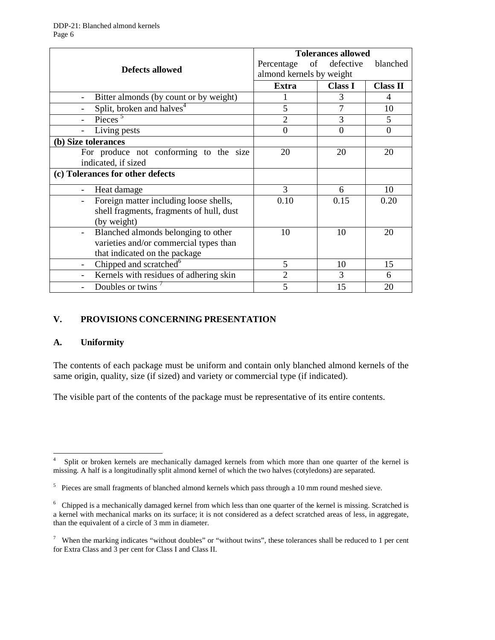| <b>Defects allowed</b>                               | <b>Tolerances allowed</b> |                |                  |
|------------------------------------------------------|---------------------------|----------------|------------------|
|                                                      | of<br>Percentage          | defective      | blanched         |
|                                                      | almond kernels by weight  |                |                  |
|                                                      | Extra                     | <b>Class I</b> | <b>Class II</b>  |
| Bitter almonds (by count or by weight)               |                           | 3              | 4                |
| Split, broken and halves <sup>4</sup>                | 5                         | 7              | 10               |
| Pieces $5$                                           | $\overline{2}$            | 3              | 5                |
| Living pests                                         | $\overline{0}$            | $\overline{0}$ | $\boldsymbol{0}$ |
| (b) Size tolerances                                  |                           |                |                  |
| For produce not conforming to the size               | 20                        | 20             | 20               |
| indicated, if sized                                  |                           |                |                  |
| (c) Tolerances for other defects                     |                           |                |                  |
| Heat damage                                          | 3                         | 6              | 10               |
| Foreign matter including loose shells,               | 0.10                      | 0.15           | 0.20             |
| shell fragments, fragments of hull, dust             |                           |                |                  |
| (by weight)                                          |                           |                |                  |
| Blanched almonds belonging to other                  | 10                        | 10             | 20               |
| varieties and/or commercial types than               |                           |                |                  |
| that indicated on the package                        |                           |                |                  |
| Chipped and scratched <sup>6</sup><br>$\blacksquare$ | 5                         | 10             | 15               |
| Kernels with residues of adhering skin               | $\overline{2}$            | 3              | 6                |
| Doubles or twins                                     | 5                         | 15             | 20               |

## **V. PROVISIONS CONCERNING PRESENTATION**

#### **A. Uniformity**

The contents of each package must be uniform and contain only blanched almond kernels of the same origin, quality, size (if sized) and variety or commercial type (if indicated).

The visible part of the contents of the package must be representative of its entire contents.

<sup>-&</sup>lt;br>4 Split or broken kernels are mechanically damaged kernels from which more than one quarter of the kernel is missing. A half is a longitudinally split almond kernel of which the two halves (cotyledons) are separated.

<sup>&</sup>lt;sup>5</sup> Pieces are small fragments of blanched almond kernels which pass through a 10 mm round meshed sieve.

<sup>&</sup>lt;sup>6</sup> Chipped is a mechanically damaged kernel from which less than one quarter of the kernel is missing. Scratched is a kernel with mechanical marks on its surface; it is not considered as a defect scratched areas of less, in aggregate, than the equivalent of a circle of 3 mm in diameter.

<sup>&</sup>lt;sup>7</sup> When the marking indicates "without doubles" or "without twins", these tolerances shall be reduced to 1 per cent for Extra Class and 3 per cent for Class I and Class II.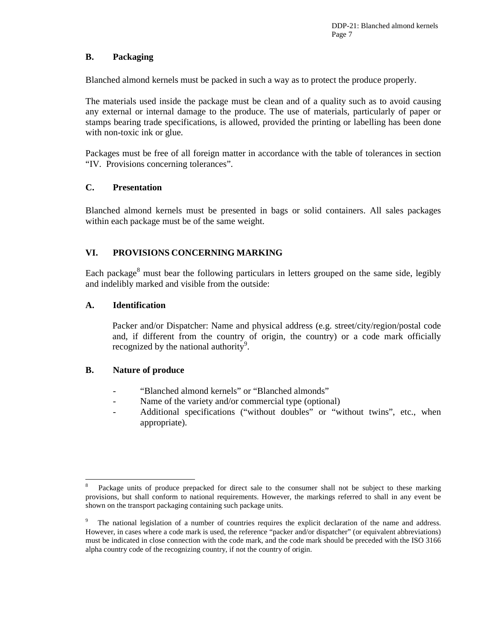## **B. Packaging**

Blanched almond kernels must be packed in such a way as to protect the produce properly.

The materials used inside the package must be clean and of a quality such as to avoid causing any external or internal damage to the produce. The use of materials, particularly of paper or stamps bearing trade specifications, is allowed, provided the printing or labelling has been done with non-toxic ink or glue.

Packages must be free of all foreign matter in accordance with the table of tolerances in section "IV. Provisions concerning tolerances".

## **C. Presentation**

Blanched almond kernels must be presented in bags or solid containers. All sales packages within each package must be of the same weight.

# **VI. PROVISIONS CONCERNING MARKING**

Each package<sup>8</sup> must bear the following particulars in letters grouped on the same side, legibly and indelibly marked and visible from the outside:

## **A. Identification**

Packer and/or Dispatcher: Name and physical address (e.g. street/city/region/postal code and, if different from the country of origin, the country) or a code mark officially recognized by the national authority<sup>9</sup>.

# **B. Nature of produce**

- "Blanched almond kernels" or "Blanched almonds"
- Name of the variety and/or commercial type (optional)
- Additional specifications ("without doubles" or "without twins", etc., when appropriate).

 $\overline{a}$ 8 Package units of produce prepacked for direct sale to the consumer shall not be subject to these marking provisions, but shall conform to national requirements. However, the markings referred to shall in any event be shown on the transport packaging containing such package units.

<sup>9</sup> The national legislation of a number of countries requires the explicit declaration of the name and address. However, in cases where a code mark is used, the reference "packer and/or dispatcher" (or equivalent abbreviations) must be indicated in close connection with the code mark, and the code mark should be preceded with the ISO 3166 alpha country code of the recognizing country, if not the country of origin.